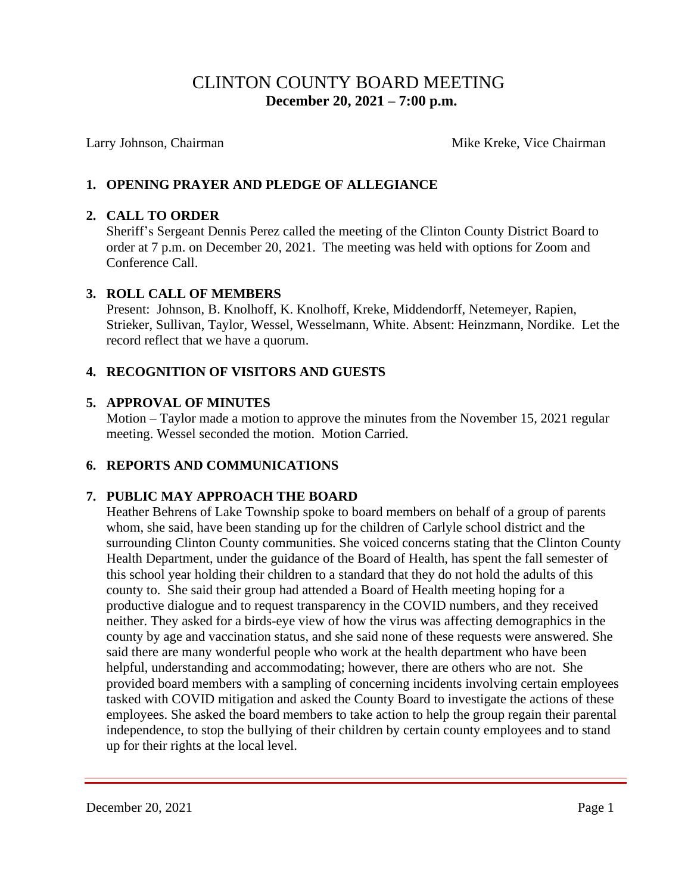# CLINTON COUNTY BOARD MEETING  **December 20, 2021 – 7:00 p.m.**

Larry Johnson, Chairman Mike Kreke, Vice Chairman Mike Kreke, Vice Chairman

## **1. OPENING PRAYER AND PLEDGE OF ALLEGIANCE**

## **2. CALL TO ORDER**

Sheriff's Sergeant Dennis Perez called the meeting of the Clinton County District Board to order at 7 p.m. on December 20, 2021. The meeting was held with options for Zoom and Conference Call.

### **3. ROLL CALL OF MEMBERS**

Present: Johnson, B. Knolhoff, K. Knolhoff, Kreke, Middendorff, Netemeyer, Rapien, Strieker, Sullivan, Taylor, Wessel, Wesselmann, White. Absent: Heinzmann, Nordike. Let the record reflect that we have a quorum.

## **4. RECOGNITION OF VISITORS AND GUESTS**

### **5. APPROVAL OF MINUTES**

Motion – Taylor made a motion to approve the minutes from the November 15, 2021 regular meeting. Wessel seconded the motion. Motion Carried.

## **6. REPORTS AND COMMUNICATIONS**

## **7. PUBLIC MAY APPROACH THE BOARD**

 Heather Behrens of Lake Township spoke to board members on behalf of a group of parents whom, she said, have been standing up for the children of Carlyle school district and the surrounding Clinton County communities. She voiced concerns stating that the Clinton County Health Department, under the guidance of the Board of Health, has spent the fall semester of this school year holding their children to a standard that they do not hold the adults of this county to. She said their group had attended a Board of Health meeting hoping for a productive dialogue and to request transparency in the COVID numbers, and they received neither. They asked for a birds-eye view of how the virus was affecting demographics in the county by age and vaccination status, and she said none of these requests were answered. She said there are many wonderful people who work at the health department who have been helpful, understanding and accommodating; however, there are others who are not. She provided board members with a sampling of concerning incidents involving certain employees tasked with COVID mitigation and asked the County Board to investigate the actions of these employees. She asked the board members to take action to help the group regain their parental independence, to stop the bullying of their children by certain county employees and to stand up for their rights at the local level.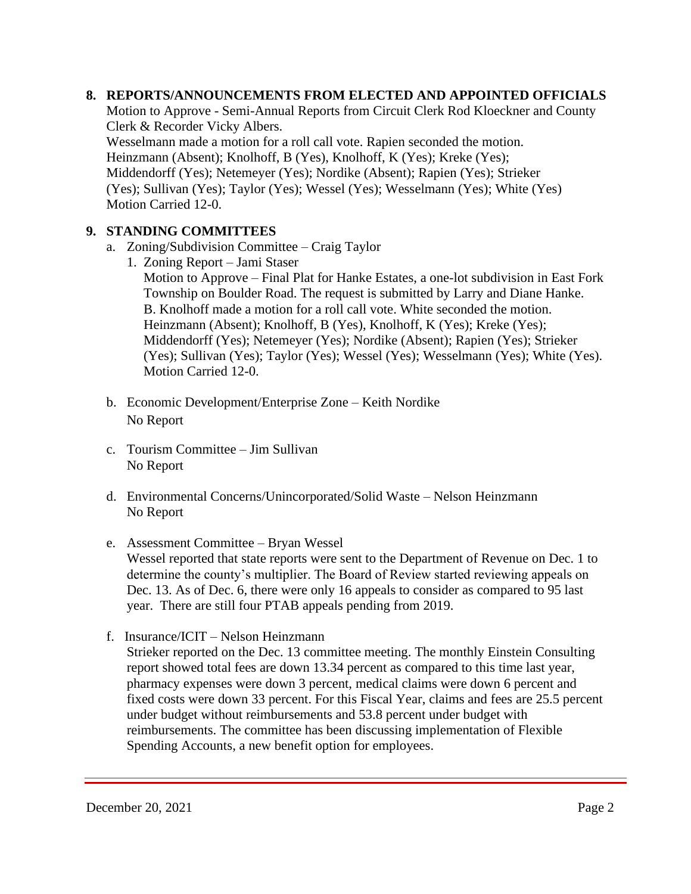## **8. REPORTS/ANNOUNCEMENTS FROM ELECTED AND APPOINTED OFFICIALS**

Motion to Approve - Semi-Annual Reports from Circuit Clerk Rod Kloeckner and County Clerk & Recorder Vicky Albers.

Wesselmann made a motion for a roll call vote. Rapien seconded the motion.

Heinzmann (Absent); Knolhoff, B (Yes), Knolhoff, K (Yes); Kreke (Yes);

 Middendorff (Yes); Netemeyer (Yes); Nordike (Absent); Rapien (Yes); Strieker (Yes); Sullivan (Yes); Taylor (Yes); Wessel (Yes); Wesselmann (Yes); White (Yes) Motion Carried 12-0.

## **9. STANDING COMMITTEES**

- a. Zoning/Subdivision Committee Craig Taylor
	- 1. Zoning Report Jami Staser

 Motion to Approve – Final Plat for Hanke Estates, a one-lot subdivision in East Fork Township on Boulder Road. The request is submitted by Larry and Diane Hanke. B. Knolhoff made a motion for a roll call vote. White seconded the motion. Heinzmann (Absent); Knolhoff, B (Yes), Knolhoff, K (Yes); Kreke (Yes); Middendorff (Yes); Netemeyer (Yes); Nordike (Absent); Rapien (Yes); Strieker (Yes); Sullivan (Yes); Taylor (Yes); Wessel (Yes); Wesselmann (Yes); White (Yes). Motion Carried 12-0.

- b. Economic Development/Enterprise Zone Keith Nordike No Report
- c. Tourism Committee Jim Sullivan No Report
- d. Environmental Concerns/Unincorporated/Solid Waste Nelson Heinzmann No Report
- e. Assessment Committee Bryan Wessel Wessel reported that state reports were sent to the Department of Revenue on Dec. 1 to determine the county's multiplier. The Board of Review started reviewing appeals on Dec. 13. As of Dec. 6, there were only 16 appeals to consider as compared to 95 last year. There are still four PTAB appeals pending from 2019.
- f. Insurance/ICIT Nelson Heinzmann Strieker reported on the Dec. 13 committee meeting. The monthly Einstein Consulting report showed total fees are down 13.34 percent as compared to this time last year, pharmacy expenses were down 3 percent, medical claims were down 6 percent and fixed costs were down 33 percent. For this Fiscal Year, claims and fees are 25.5 percent under budget without reimbursements and 53.8 percent under budget with reimbursements. The committee has been discussing implementation of Flexible Spending Accounts, a new benefit option for employees.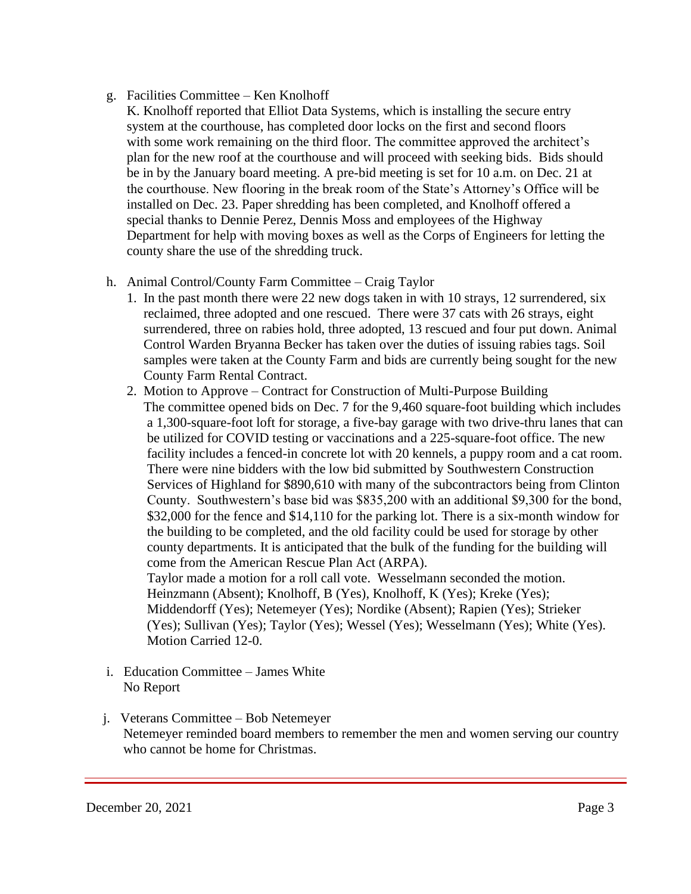## g. Facilities Committee – Ken Knolhoff

- K. Knolhoff reported that Elliot Data Systems, which is installing the secure entry system at the courthouse, has completed door locks on the first and second floors with some work remaining on the third floor. The committee approved the architect's plan for the new roof at the courthouse and will proceed with seeking bids. Bids should be in by the January board meeting. A pre-bid meeting is set for 10 a.m. on Dec. 21 at the courthouse. New flooring in the break room of the State's Attorney's Office will be installed on Dec. 23. Paper shredding has been completed, and Knolhoff offered a special thanks to Dennie Perez, Dennis Moss and employees of the Highway Department for help with moving boxes as well as the Corps of Engineers for letting the county share the use of the shredding truck.
- h. Animal Control/County Farm Committee Craig Taylor
	- 1. In the past month there were 22 new dogs taken in with 10 strays, 12 surrendered, six reclaimed, three adopted and one rescued. There were 37 cats with 26 strays, eight surrendered, three on rabies hold, three adopted, 13 rescued and four put down. Animal Control Warden Bryanna Becker has taken over the duties of issuing rabies tags. Soil samples were taken at the County Farm and bids are currently being sought for the new County Farm Rental Contract.
	- 2. Motion to Approve Contract for Construction of Multi-Purpose Building The committee opened bids on Dec. 7 for the 9,460 square-foot building which includes a 1,300-square-foot loft for storage, a five-bay garage with two drive-thru lanes that can be utilized for COVID testing or vaccinations and a 225-square-foot office. The new facility includes a fenced-in concrete lot with 20 kennels, a puppy room and a cat room. There were nine bidders with the low bid submitted by Southwestern Construction Services of Highland for \$890,610 with many of the subcontractors being from Clinton County. Southwestern's base bid was \$835,200 with an additional \$9,300 for the bond, \$32,000 for the fence and \$14,110 for the parking lot. There is a six-month window for the building to be completed, and the old facility could be used for storage by other county departments. It is anticipated that the bulk of the funding for the building will come from the American Rescue Plan Act (ARPA). Taylor made a motion for a roll call vote. Wesselmann seconded the motion. Heinzmann (Absent); Knolhoff, B (Yes), Knolhoff, K (Yes); Kreke (Yes); Middendorff (Yes); Netemeyer (Yes); Nordike (Absent); Rapien (Yes); Strieker

 (Yes); Sullivan (Yes); Taylor (Yes); Wessel (Yes); Wesselmann (Yes); White (Yes). Motion Carried 12-0.

- i. Education Committee James White No Report
- j. Veterans Committee Bob Netemeyer Netemeyer reminded board members to remember the men and women serving our country who cannot be home for Christmas.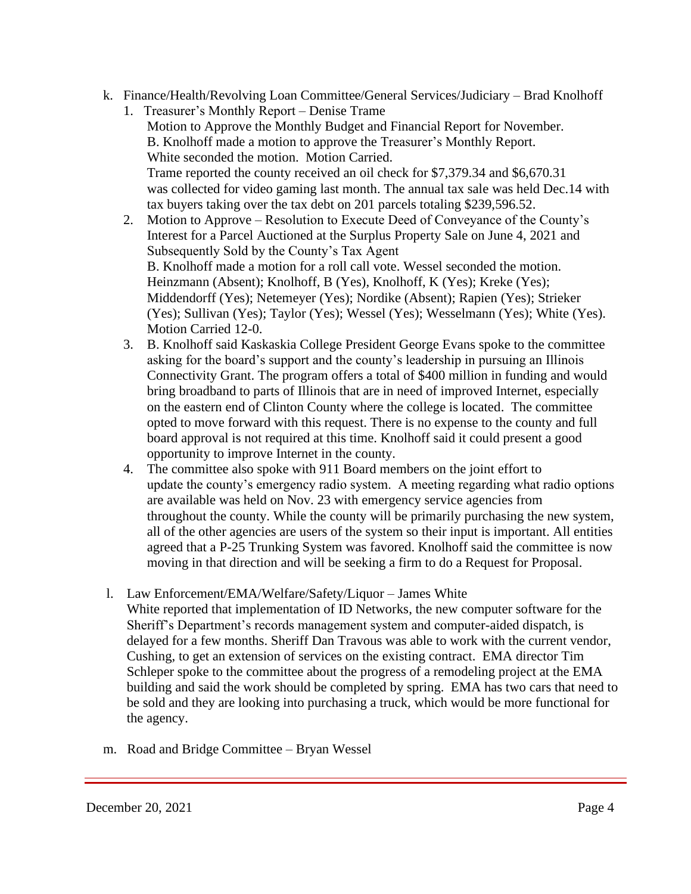- k. Finance/Health/Revolving Loan Committee/General Services/Judiciary Brad Knolhoff
	- 1. Treasurer's Monthly Report Denise Trame Motion to Approve the Monthly Budget and Financial Report for November. B. Knolhoff made a motion to approve the Treasurer's Monthly Report. White seconded the motion. Motion Carried. Trame reported the county received an oil check for \$7,379.34 and \$6,670.31 was collected for video gaming last month. The annual tax sale was held Dec.14 with tax buyers taking over the tax debt on 201 parcels totaling \$239,596.52.
	- 2. Motion to Approve Resolution to Execute Deed of Conveyance of the County's Interest for a Parcel Auctioned at the Surplus Property Sale on June 4, 2021 and Subsequently Sold by the County's Tax Agent B. Knolhoff made a motion for a roll call vote. Wessel seconded the motion. Heinzmann (Absent); Knolhoff, B (Yes), Knolhoff, K (Yes); Kreke (Yes); Middendorff (Yes); Netemeyer (Yes); Nordike (Absent); Rapien (Yes); Strieker (Yes); Sullivan (Yes); Taylor (Yes); Wessel (Yes); Wesselmann (Yes); White (Yes). Motion Carried 12-0.
	- 3. B. Knolhoff said Kaskaskia College President George Evans spoke to the committee asking for the board's support and the county's leadership in pursuing an Illinois Connectivity Grant. The program offers a total of \$400 million in funding and would bring broadband to parts of Illinois that are in need of improved Internet, especially on the eastern end of Clinton County where the college is located. The committee opted to move forward with this request. There is no expense to the county and full board approval is not required at this time. Knolhoff said it could present a good opportunity to improve Internet in the county.
	- 4. The committee also spoke with 911 Board members on the joint effort to update the county's emergency radio system. A meeting regarding what radio options are available was held on Nov. 23 with emergency service agencies from throughout the county. While the county will be primarily purchasing the new system, all of the other agencies are users of the system so their input is important. All entities agreed that a P-25 Trunking System was favored. Knolhoff said the committee is now moving in that direction and will be seeking a firm to do a Request for Proposal.
- l. Law Enforcement/EMA/Welfare/Safety/Liquor James White White reported that implementation of ID Networks, the new computer software for the Sheriff's Department's records management system and computer-aided dispatch, is delayed for a few months. Sheriff Dan Travous was able to work with the current vendor, Cushing, to get an extension of services on the existing contract. EMA director Tim Schleper spoke to the committee about the progress of a remodeling project at the EMA building and said the work should be completed by spring. EMA has two cars that need to be sold and they are looking into purchasing a truck, which would be more functional for the agency.
- m. Road and Bridge Committee Bryan Wessel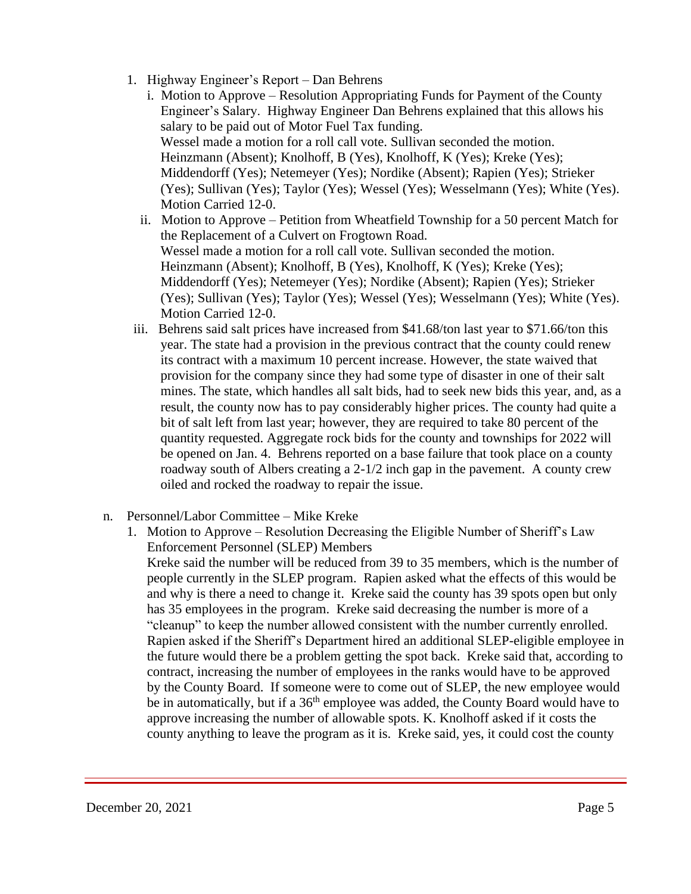- 1. Highway Engineer's Report Dan Behrens
	- i. Motion to Approve Resolution Appropriating Funds for Payment of the County Engineer's Salary. Highway Engineer Dan Behrens explained that this allows his salary to be paid out of Motor Fuel Tax funding. Wessel made a motion for a roll call vote. Sullivan seconded the motion. Heinzmann (Absent); Knolhoff, B (Yes), Knolhoff, K (Yes); Kreke (Yes); Middendorff (Yes); Netemeyer (Yes); Nordike (Absent); Rapien (Yes); Strieker (Yes); Sullivan (Yes); Taylor (Yes); Wessel (Yes); Wesselmann (Yes); White (Yes). Motion Carried 12-0.
	- ii. Motion to Approve Petition from Wheatfield Township for a 50 percent Match for the Replacement of a Culvert on Frogtown Road. Wessel made a motion for a roll call vote. Sullivan seconded the motion. Heinzmann (Absent); Knolhoff, B (Yes), Knolhoff, K (Yes); Kreke (Yes); Middendorff (Yes); Netemeyer (Yes); Nordike (Absent); Rapien (Yes); Strieker (Yes); Sullivan (Yes); Taylor (Yes); Wessel (Yes); Wesselmann (Yes); White (Yes). Motion Carried 12-0.
- iii. Behrens said salt prices have increased from \$41.68/ton last year to \$71.66/ton this year. The state had a provision in the previous contract that the county could renew its contract with a maximum 10 percent increase. However, the state waived that provision for the company since they had some type of disaster in one of their salt mines. The state, which handles all salt bids, had to seek new bids this year, and, as a result, the county now has to pay considerably higher prices. The county had quite a bit of salt left from last year; however, they are required to take 80 percent of the quantity requested. Aggregate rock bids for the county and townships for 2022 will be opened on Jan. 4. Behrens reported on a base failure that took place on a county roadway south of Albers creating a 2-1/2 inch gap in the pavement. A county crew oiled and rocked the roadway to repair the issue.
- n. Personnel/Labor Committee Mike Kreke
	- 1. Motion to Approve Resolution Decreasing the Eligible Number of Sheriff's Law Enforcement Personnel (SLEP) Members

Kreke said the number will be reduced from 39 to 35 members, which is the number of people currently in the SLEP program. Rapien asked what the effects of this would be and why is there a need to change it. Kreke said the county has 39 spots open but only has 35 employees in the program. Kreke said decreasing the number is more of a "cleanup" to keep the number allowed consistent with the number currently enrolled. Rapien asked if the Sheriff's Department hired an additional SLEP-eligible employee in the future would there be a problem getting the spot back. Kreke said that, according to contract, increasing the number of employees in the ranks would have to be approved by the County Board. If someone were to come out of SLEP, the new employee would be in automatically, but if a 36<sup>th</sup> employee was added, the County Board would have to approve increasing the number of allowable spots. K. Knolhoff asked if it costs the county anything to leave the program as it is. Kreke said, yes, it could cost the county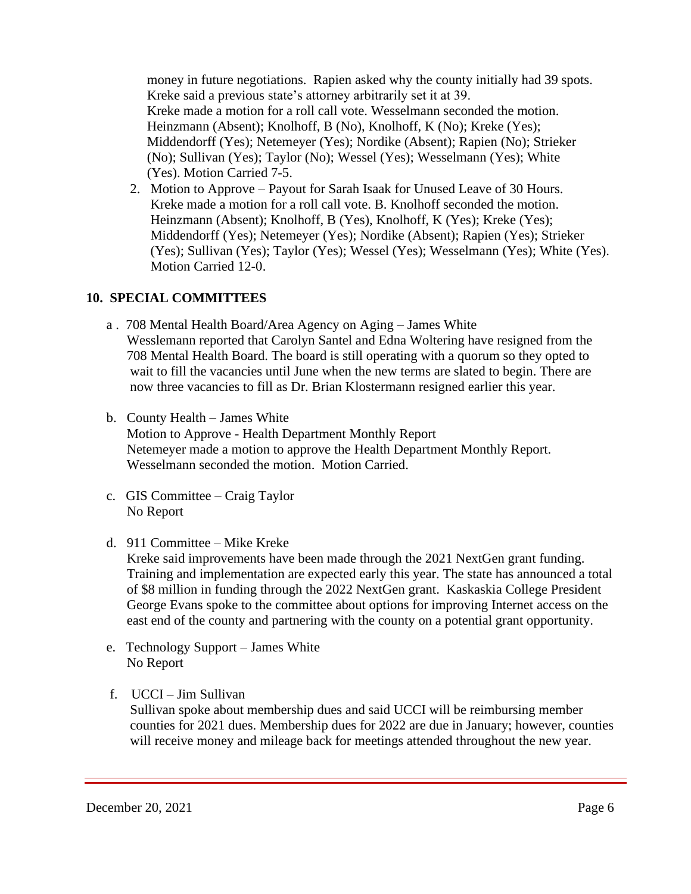money in future negotiations. Rapien asked why the county initially had 39 spots. Kreke said a previous state's attorney arbitrarily set it at 39. Kreke made a motion for a roll call vote. Wesselmann seconded the motion. Heinzmann (Absent); Knolhoff, B (No), Knolhoff, K (No); Kreke (Yes); Middendorff (Yes); Netemeyer (Yes); Nordike (Absent); Rapien (No); Strieker (No); Sullivan (Yes); Taylor (No); Wessel (Yes); Wesselmann (Yes); White (Yes). Motion Carried 7-5.

2. Motion to Approve – Payout for Sarah Isaak for Unused Leave of 30 Hours. Kreke made a motion for a roll call vote. B. Knolhoff seconded the motion. Heinzmann (Absent); Knolhoff, B (Yes), Knolhoff, K (Yes); Kreke (Yes); Middendorff (Yes); Netemeyer (Yes); Nordike (Absent); Rapien (Yes); Strieker (Yes); Sullivan (Yes); Taylor (Yes); Wessel (Yes); Wesselmann (Yes); White (Yes). Motion Carried 12-0.

## **10. SPECIAL COMMITTEES**

- a . 708 Mental Health Board/Area Agency on Aging James White Wesslemann reported that Carolyn Santel and Edna Woltering have resigned from the 708 Mental Health Board. The board is still operating with a quorum so they opted to wait to fill the vacancies until June when the new terms are slated to begin. There are now three vacancies to fill as Dr. Brian Klostermann resigned earlier this year.
- b. County Health James White Motion to Approve - Health Department Monthly Report Netemeyer made a motion to approve the Health Department Monthly Report. Wesselmann seconded the motion. Motion Carried.
- c. GIS Committee Craig Taylor No Report
- d. 911 Committee Mike Kreke

Kreke said improvements have been made through the 2021 NextGen grant funding. Training and implementation are expected early this year. The state has announced a total of \$8 million in funding through the 2022 NextGen grant. Kaskaskia College President George Evans spoke to the committee about options for improving Internet access on the east end of the county and partnering with the county on a potential grant opportunity.

- e. Technology Support James White No Report
- f. UCCI Jim Sullivan

 Sullivan spoke about membership dues and said UCCI will be reimbursing member counties for 2021 dues. Membership dues for 2022 are due in January; however, counties will receive money and mileage back for meetings attended throughout the new year.